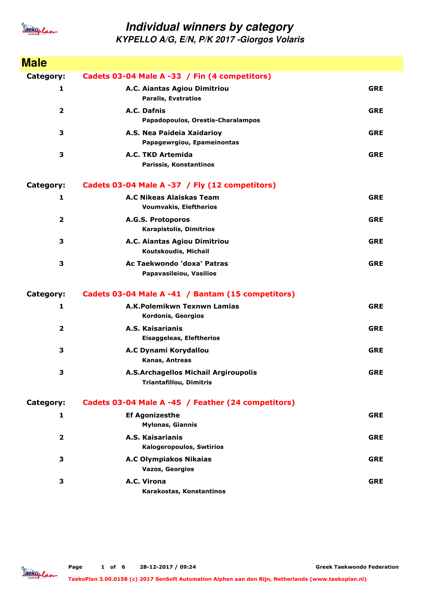

| <b>Male</b>      |                                                                        |            |
|------------------|------------------------------------------------------------------------|------------|
| Category:        | Cadets 03-04 Male A -33 / Fin (4 competitors)                          |            |
| 1                | A.C. Aiantas Agiou Dimitriou<br><b>Paralis, Evstratios</b>             | <b>GRE</b> |
| 2                | A.C. Dafnis<br>Papadopoulos, Orestis-Charalampos                       | <b>GRE</b> |
| 3                | A.S. Nea Paideia Xaidarioy<br>Papagewrgiou, Epameinontas               | <b>GRE</b> |
| 3                | A.C. TKD Artemida<br>Parissis, Konstantinos                            | <b>GRE</b> |
| <b>Category:</b> | Cadets 03-04 Male A -37 / Fly (12 competitors)                         |            |
| 1                | A.C Nikeas Alaiskas Team<br><b>Voumvakis, Eleftherios</b>              | <b>GRE</b> |
| $\overline{2}$   | A.G.S. Protoporos<br><b>Karapistolis, Dimitrios</b>                    | <b>GRE</b> |
| 3                | A.C. Aiantas Agiou Dimitriou<br>Koutskoudis, Michail                   | <b>GRE</b> |
| 3                | Ac Taekwondo 'doxa' Patras<br>Papavasileiou, Vasilios                  | <b>GRE</b> |
| <b>Category:</b> | Cadets 03-04 Male A -41 / Bantam (15 competitors)                      |            |
| 1                | A.K.Polemikwn Texnwn Lamias<br>Kordonis, Georgios                      | <b>GRE</b> |
| $\overline{2}$   | A.S. Kaisarianis<br><b>Eisaggeleas, Eleftherios</b>                    | <b>GRE</b> |
| 3                | A.C Dynami Korydallou<br>Kanas, Antreas                                | <b>GRE</b> |
| 3                | A.S.Archagellos Michail Argiroupolis<br><b>Triantafillou, Dimitris</b> | <b>GRE</b> |
| Category:        | Cadets 03-04 Male A -45 / Feather (24 competitors)                     |            |
| 1                | <b>Ef Agonizesthe</b><br><b>Mylonas, Giannis</b>                       | <b>GRE</b> |
| $\overline{2}$   | A.S. Kaisarianis<br><b>Kalogeropoulos, Swtirios</b>                    | <b>GRE</b> |
| З                | <b>A.C Olympiakos Nikaias</b><br>Vazos, Georgios                       | <b>GRE</b> |
| З                | A.C. Virona<br>Karakostas, Konstantinos                                | <b>GRE</b> |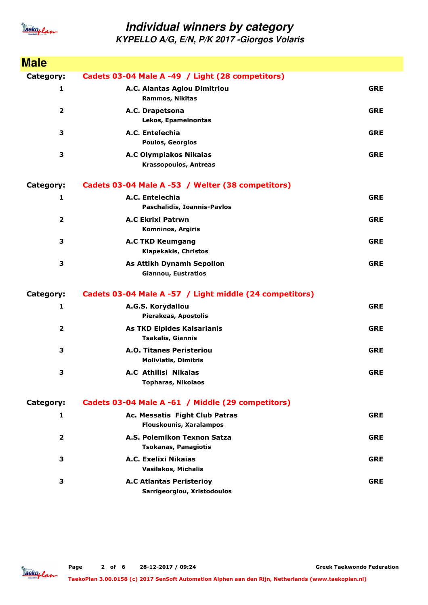

| <b>Male</b>             |                                                                  |            |
|-------------------------|------------------------------------------------------------------|------------|
| Category:               | Cadets 03-04 Male A -49 / Light (28 competitors)                 |            |
| 1                       | A.C. Aiantas Agiou Dimitriou<br><b>Rammos, Nikitas</b>           | <b>GRE</b> |
| $\overline{\mathbf{2}}$ | A.C. Drapetsona<br>Lekos, Epameinontas                           | <b>GRE</b> |
| 3                       | A.C. Entelechia<br><b>Poulos, Georgios</b>                       | <b>GRE</b> |
| 3                       | <b>A.C Olympiakos Nikaias</b><br><b>Krassopoulos, Antreas</b>    | <b>GRE</b> |
| Category:               | Cadets 03-04 Male A -53 / Welter (38 competitors)                |            |
| 1                       | A.C. Entelechia<br>Paschalidis, Ioannis-Pavlos                   | <b>GRE</b> |
| $\overline{\mathbf{2}}$ | <b>A.C Ekrixi Patrwn</b><br><b>Komninos, Argiris</b>             | <b>GRE</b> |
| 3                       | <b>A.C TKD Keumgang</b><br>Kiapekakis, Christos                  | <b>GRE</b> |
| 3                       | <b>As Attikh Dynamh Sepolion</b><br><b>Giannou, Eustratios</b>   | <b>GRE</b> |
| <b>Category:</b>        | Cadets 03-04 Male A -57 / Light middle (24 competitors)          |            |
| 1                       | A.G.S. Korydallou<br>Pierakeas, Apostolis                        | <b>GRE</b> |
| $\overline{\mathbf{2}}$ | As TKD Elpides Kaisarianis<br>Tsakalis, Giannis                  | <b>GRE</b> |
| 3                       | <b>A.O. Titanes Peristeriou</b><br><b>Moliviatis, Dimitris</b>   | <b>GRE</b> |
| 3                       | <b>A.C Athilisi Nikaias</b><br><b>Topharas, Nikolaos</b>         | <b>GRE</b> |
| Category:               | Cadets 03-04 Male A -61 / Middle (29 competitors)                |            |
| 1                       | Ac. Messatis Fight Club Patras<br><b>Flouskounis, Xaralampos</b> | <b>GRE</b> |
| $\overline{2}$          | A.S. Polemikon Texnon Satza<br><b>Tsokanas, Panagiotis</b>       | <b>GRE</b> |
| 3                       | A.C. Exelixi Nikaias<br><b>Vasilakos, Michalis</b>               | <b>GRE</b> |
| 3                       | <b>A.C Atlantas Peristerioy</b><br>Sarrigeorgiou, Xristodoulos   | <b>GRE</b> |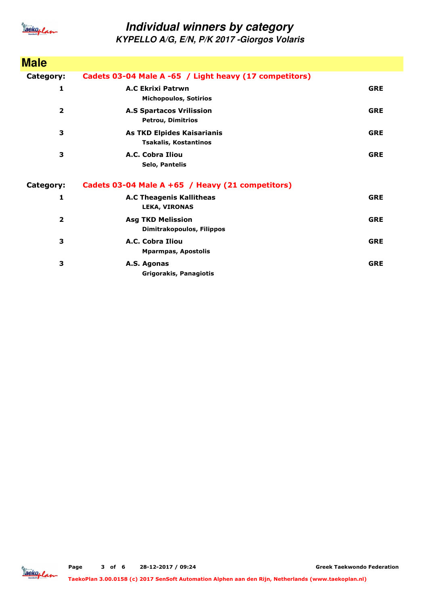

| <b>Male</b>             |                                                                   |            |
|-------------------------|-------------------------------------------------------------------|------------|
| Category:               | Cadets 03-04 Male A -65 / Light heavy (17 competitors)            |            |
| 1                       | <b>A.C Ekrixi Patrwn</b><br><b>Michopoulos, Sotirios</b>          | <b>GRE</b> |
| $\overline{\mathbf{2}}$ | <b>A.S Spartacos Vrilission</b><br><b>Petrou, Dimitrios</b>       | <b>GRE</b> |
| 3                       | <b>As TKD Elpides Kaisarianis</b><br><b>Tsakalis, Kostantinos</b> | <b>GRE</b> |
| 3                       | A.C. Cobra Iliou<br><b>Selo, Pantelis</b>                         | <b>GRE</b> |
| Category:               | Cadets 03-04 Male A +65 / Heavy (21 competitors)                  |            |
| 1                       | <b>A.C Theagenis Kallitheas</b><br><b>LEKA, VIRONAS</b>           | <b>GRE</b> |
| $\overline{\mathbf{2}}$ | <b>Asg TKD Melission</b><br>Dimitrakopoulos, Filippos             | <b>GRE</b> |
| 3                       | A.C. Cobra Iliou<br><b>Mparmpas, Apostolis</b>                    | <b>GRE</b> |
| 3                       | A.S. Agonas<br>Grigorakis, Panagiotis                             | <b>GRE</b> |

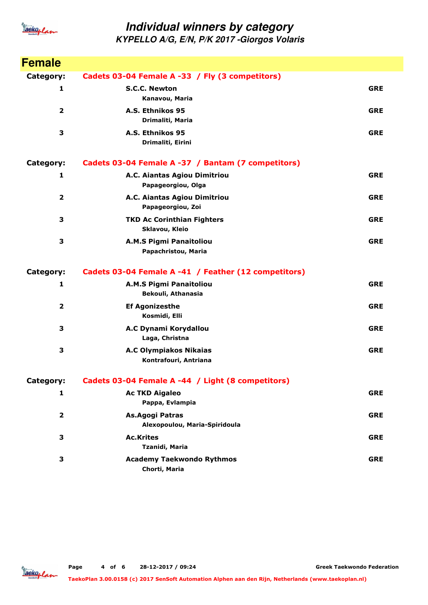

| <b>Female</b>           |                                                        |            |
|-------------------------|--------------------------------------------------------|------------|
| Category:               | Cadets 03-04 Female A -33 / Fly (3 competitors)        |            |
| 1                       | <b>S.C.C. Newton</b><br>Kanavou, Maria                 | <b>GRE</b> |
| $\overline{\mathbf{2}}$ | A.S. Ethnikos 95<br>Drimaliti, Maria                   | <b>GRE</b> |
| 3                       | A.S. Ethnikos 95<br>Drimaliti, Eirini                  | <b>GRE</b> |
| Category:               | Cadets 03-04 Female A -37 / Bantam (7 competitors)     |            |
| 1                       | A.C. Aiantas Agiou Dimitriou<br>Papageorgiou, Olga     | <b>GRE</b> |
| $\overline{\mathbf{2}}$ | A.C. Aiantas Agiou Dimitriou<br>Papageorgiou, Zoi      | <b>GRE</b> |
| 3                       | <b>TKD Ac Corinthian Fighters</b><br>Sklavou, Kleio    | <b>GRE</b> |
| 3                       | A.M.S Pigmi Panaitoliou<br>Papachristou, Maria         | <b>GRE</b> |
| Category:               | Cadets 03-04 Female A -41 / Feather (12 competitors)   |            |
| 1                       | <b>A.M.S Pigmi Panaitoliou</b><br>Bekouli, Athanasia   | <b>GRE</b> |
| 2                       | <b>Ef Agonizesthe</b><br>Kosmidi, Elli                 | <b>GRE</b> |
| 3                       | A.C Dynami Korydallou<br>Laga, Christna                | <b>GRE</b> |
| 3                       | <b>A.C Olympiakos Nikaias</b><br>Kontrafouri, Antriana | <b>GRE</b> |
| Category:               | Cadets 03-04 Female A -44 / Light (8 competitors)      |            |
| 1                       | <b>Ac TKD Aigaleo</b><br>Pappa, Evlampia               | <b>GRE</b> |
| 2                       | As.Agogi Patras<br>Alexopoulou, Maria-Spiridoula       | <b>GRE</b> |
| 3                       | <b>Ac.Krites</b><br>Tzanidi, Maria                     | <b>GRE</b> |
| 3                       | <b>Academy Taekwondo Rythmos</b><br>Chorti, Maria      | <b>GRE</b> |

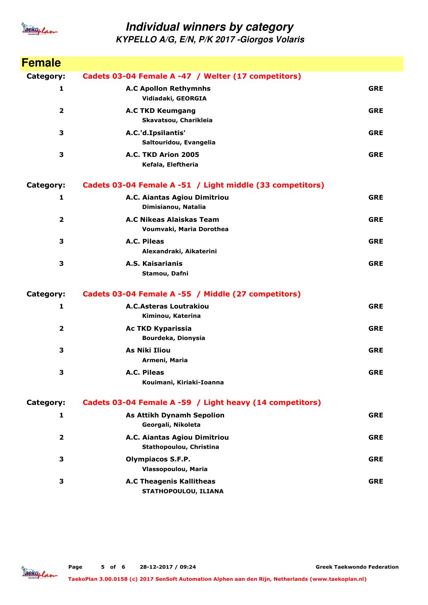

| <b>Female</b>           |                                                             |            |
|-------------------------|-------------------------------------------------------------|------------|
| Category:               | Cadets 03-04 Female A -47 / Welter (17 competitors)         |            |
| 1                       | <b>A.C Apollon Rethymnhs</b><br>Vidiadaki, GEORGIA          | <b>GRE</b> |
| $\overline{\mathbf{2}}$ | <b>A.C TKD Keumgang</b><br>Skavatsou, Charikleia            | <b>GRE</b> |
| 3                       | A.C.'d.Ipsilantis'<br>Saltouridou, Evangelia                | <b>GRE</b> |
| 3                       | A.C. TKD Arion 2005<br>Kefala, Eleftheria                   | <b>GRE</b> |
| Category:               | Cadets 03-04 Female A -51 / Light middle (33 competitors)   |            |
| $\mathbf{1}$            | A.C. Aiantas Agiou Dimitriou<br>Dimisianou, Natalia         | <b>GRE</b> |
| $\overline{2}$          | <b>A.C Nikeas Alaiskas Team</b><br>Voumvaki, Maria Dorothea | <b>GRE</b> |
| 3                       | A.C. Pileas<br>Alexandraki, Aikaterini                      | <b>GRE</b> |
| 3                       | A.S. Kaisarianis<br>Stamou, Dafni                           | <b>GRE</b> |
| <b>Category:</b>        | Cadets 03-04 Female A -55 / Middle (27 competitors)         |            |
| 1                       | <b>A.C.Asteras Loutrakiou</b><br>Kiminou, Katerina          | <b>GRE</b> |
| $\overline{2}$          | <b>Ac TKD Kyparissia</b><br>Bourdeka, Dionysia              | <b>GRE</b> |
| 3                       | <b>As Niki Iliou</b><br>Armeni, Maria                       | <b>GRE</b> |
| 3                       | A.C. Pileas<br>Kouimani, Kiriaki-Ioanna                     | <b>GRE</b> |
| Category:               | Cadets 03-04 Female A -59 / Light heavy (14 competitors)    |            |
| 1                       | <b>As Attikh Dynamh Sepolion</b><br>Georgali, Nikoleta      | <b>GRE</b> |
| $\mathbf{2}$            | A.C. Aiantas Agiou Dimitriou<br>Stathopoulou, Christina     | <b>GRE</b> |
| 3                       | <b>Olympiacos S.F.P.</b><br>Vlassopoulou, Maria             | <b>GRE</b> |
| 3                       | <b>A.C Theagenis Kallitheas</b><br>STATHOPOULOU, ILIANA     | <b>GRE</b> |